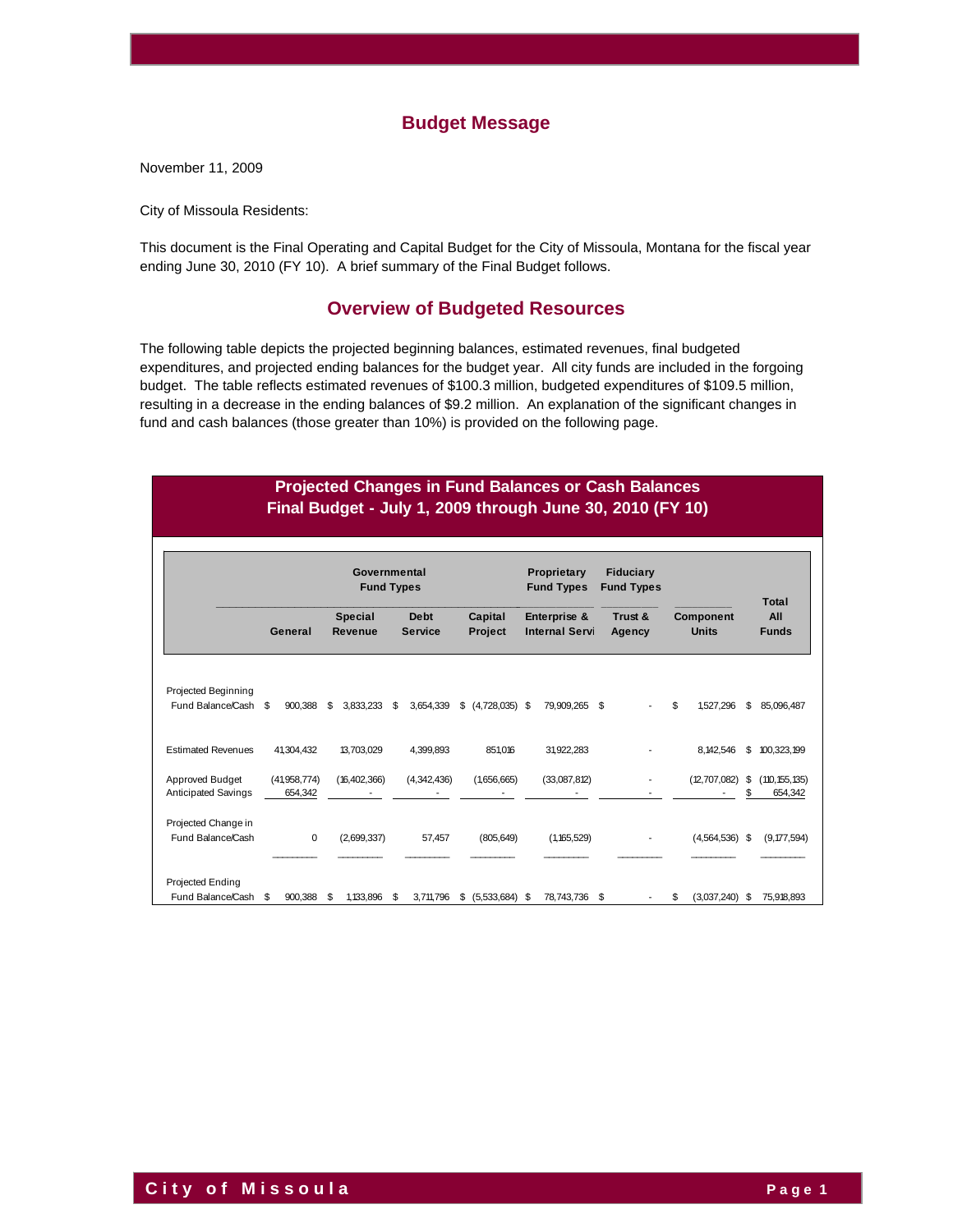## **Budget Message**

November 11, 2009

City of Missoula Residents:

This document is the Final Operating and Capital Budget for the City of Missoula, Montana for the fiscal year ending June 30, 2010 (FY 10). A brief summary of the Final Budget follows.

# **Overview of Budgeted Resources**

The following table depicts the projected beginning balances, estimated revenues, final budgeted expenditures, and projected ending balances for the budget year. All city funds are included in the forgoing budget. The table reflects estimated revenues of \$100.3 million, budgeted expenditures of \$109.5 million, resulting in a decrease in the ending balances of \$9.2 million. An explanation of the significant changes in fund and cash balances (those greater than 10%) is provided on the following page.

# **Projected Changes in Fund Balances or Cash Balances Final Budget - July 1, 2009 through June 30, 2010 (FY 10)**

|                                             | Governmental<br><b>Fund Types</b> |                         |    |                           |    |                               | Proprietary<br><b>Fund Types</b> |     | <b>Fiduciary</b><br><b>Fund Types</b> |      |                   |   | <b>Total</b>                     |           |                            |
|---------------------------------------------|-----------------------------------|-------------------------|----|---------------------------|----|-------------------------------|----------------------------------|-----|---------------------------------------|------|-------------------|---|----------------------------------|-----------|----------------------------|
|                                             |                                   | General                 |    | <b>Special</b><br>Revenue |    | <b>Debt</b><br><b>Service</b> | Capital<br>Project               |     | Enterprise &<br><b>Internal Servi</b> |      | Trust &<br>Agency |   | <b>Component</b><br><b>Units</b> |           | All<br><b>Funds</b>        |
| Projected Beginning<br>Fund Balance/Cash \$ |                                   | 900.388                 | \$ | 3.833.233                 | \$ | 3,654,339                     | $$$ (4,728,035) \$               |     | 79,909,265                            | - \$ |                   | S | 1,527,296                        | \$        | 85,096,487                 |
| <b>Estimated Revenues</b>                   |                                   | 41,304,432              |    | 13,703,029                |    | 4,399,893                     | 851,016                          |     | 31,922,283                            |      |                   |   | 8, 142, 546                      | \$        | 100,323,199                |
| Approved Budget<br>Anticipated Savings      |                                   | (41,958,774)<br>654,342 |    | (16, 402, 366)            |    | (4,342,436)                   | (1,656,665)                      |     | (33,087,812)                          |      |                   |   | (12,707,082)                     | \$<br>\$. | (110, 155, 135)<br>654,342 |
| Projected Change in<br>Fund Balance/Cash    |                                   | $\Omega$                |    | (2,699,337)               |    | 57,457                        | (805, 649)                       |     | (1, 165, 529)                         |      |                   |   | $(4,564,536)$ \$                 |           | (9, 177, 594)              |
| Projected Ending<br>Fund Balance/Cash       | \$                                | 900,388                 | \$ | 1.133.896                 | \$ | 3,711,796                     | \$<br>(5,533,684)                | -\$ | 78,743,736                            | \$   |                   | S | (3,037,240)                      | \$        | 75,918,893                 |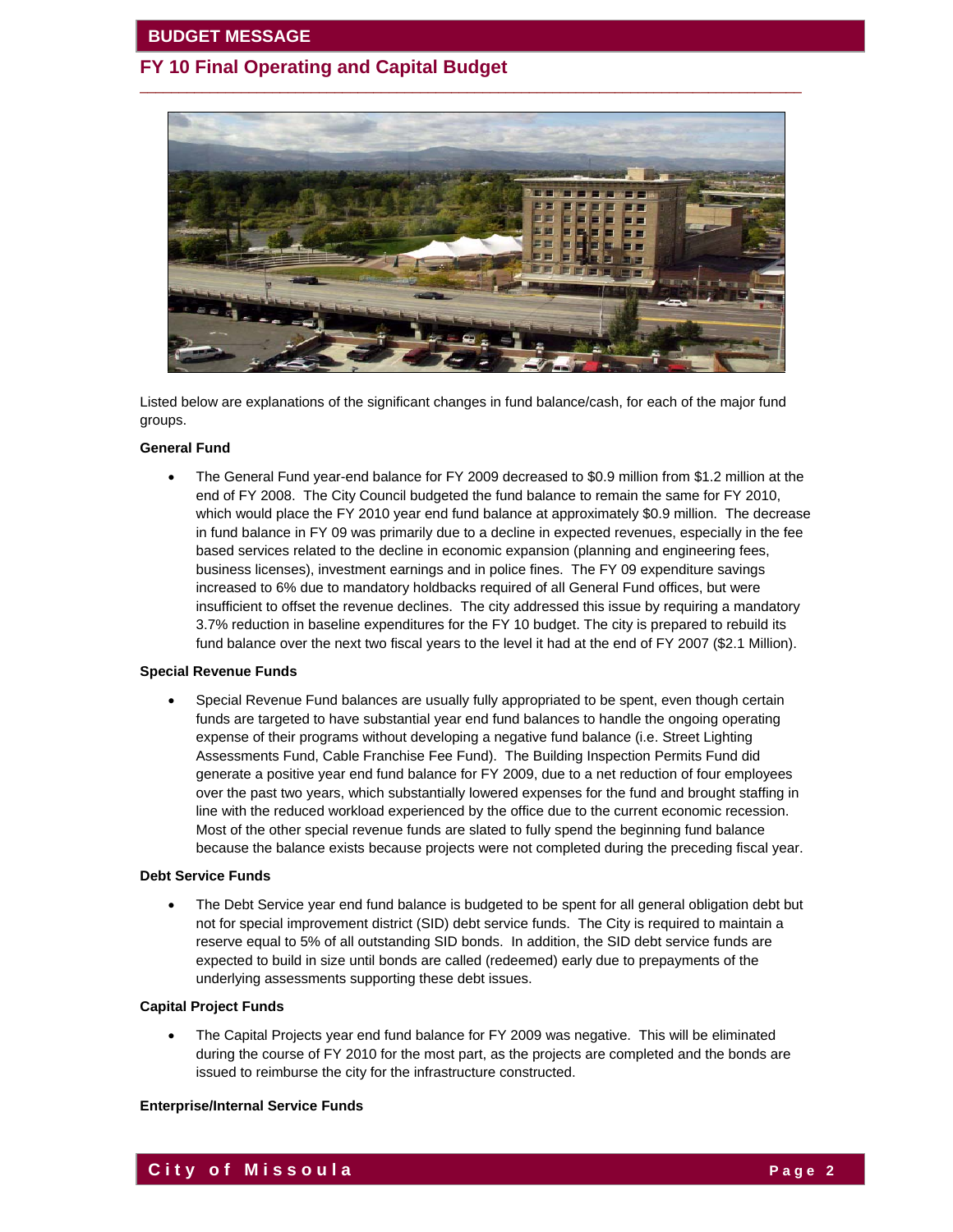

 $\overline{\phantom{a}}$  ,  $\overline{\phantom{a}}$  ,  $\overline{\phantom{a}}$  ,  $\overline{\phantom{a}}$  ,  $\overline{\phantom{a}}$  ,  $\overline{\phantom{a}}$  ,  $\overline{\phantom{a}}$  ,  $\overline{\phantom{a}}$  ,  $\overline{\phantom{a}}$  ,  $\overline{\phantom{a}}$  ,  $\overline{\phantom{a}}$  ,  $\overline{\phantom{a}}$  ,  $\overline{\phantom{a}}$  ,  $\overline{\phantom{a}}$  ,  $\overline{\phantom{a}}$  ,  $\overline{\phantom{a}}$ 

Listed below are explanations of the significant changes in fund balance/cash, for each of the major fund groups.

#### **General Fund**

 The General Fund year-end balance for FY 2009 decreased to \$0.9 million from \$1.2 million at the end of FY 2008. The City Council budgeted the fund balance to remain the same for FY 2010, which would place the FY 2010 year end fund balance at approximately \$0.9 million. The decrease in fund balance in FY 09 was primarily due to a decline in expected revenues, especially in the fee based services related to the decline in economic expansion (planning and engineering fees, business licenses), investment earnings and in police fines. The FY 09 expenditure savings increased to 6% due to mandatory holdbacks required of all General Fund offices, but were insufficient to offset the revenue declines. The city addressed this issue by requiring a mandatory 3.7% reduction in baseline expenditures for the FY 10 budget. The city is prepared to rebuild its fund balance over the next two fiscal years to the level it had at the end of FY 2007 (\$2.1 Million).

#### **Special Revenue Funds**

 Special Revenue Fund balances are usually fully appropriated to be spent, even though certain funds are targeted to have substantial year end fund balances to handle the ongoing operating expense of their programs without developing a negative fund balance (i.e. Street Lighting Assessments Fund, Cable Franchise Fee Fund). The Building Inspection Permits Fund did generate a positive year end fund balance for FY 2009, due to a net reduction of four employees over the past two years, which substantially lowered expenses for the fund and brought staffing in line with the reduced workload experienced by the office due to the current economic recession. Most of the other special revenue funds are slated to fully spend the beginning fund balance because the balance exists because projects were not completed during the preceding fiscal year.

#### **Debt Service Funds**

 The Debt Service year end fund balance is budgeted to be spent for all general obligation debt but not for special improvement district (SID) debt service funds. The City is required to maintain a reserve equal to 5% of all outstanding SID bonds. In addition, the SID debt service funds are expected to build in size until bonds are called (redeemed) early due to prepayments of the underlying assessments supporting these debt issues.

#### **Capital Project Funds**

 The Capital Projects year end fund balance for FY 2009 was negative. This will be eliminated during the course of FY 2010 for the most part, as the projects are completed and the bonds are issued to reimburse the city for the infrastructure constructed.

#### **Enterprise/Internal Service Funds**

**City of Missoula Page 2**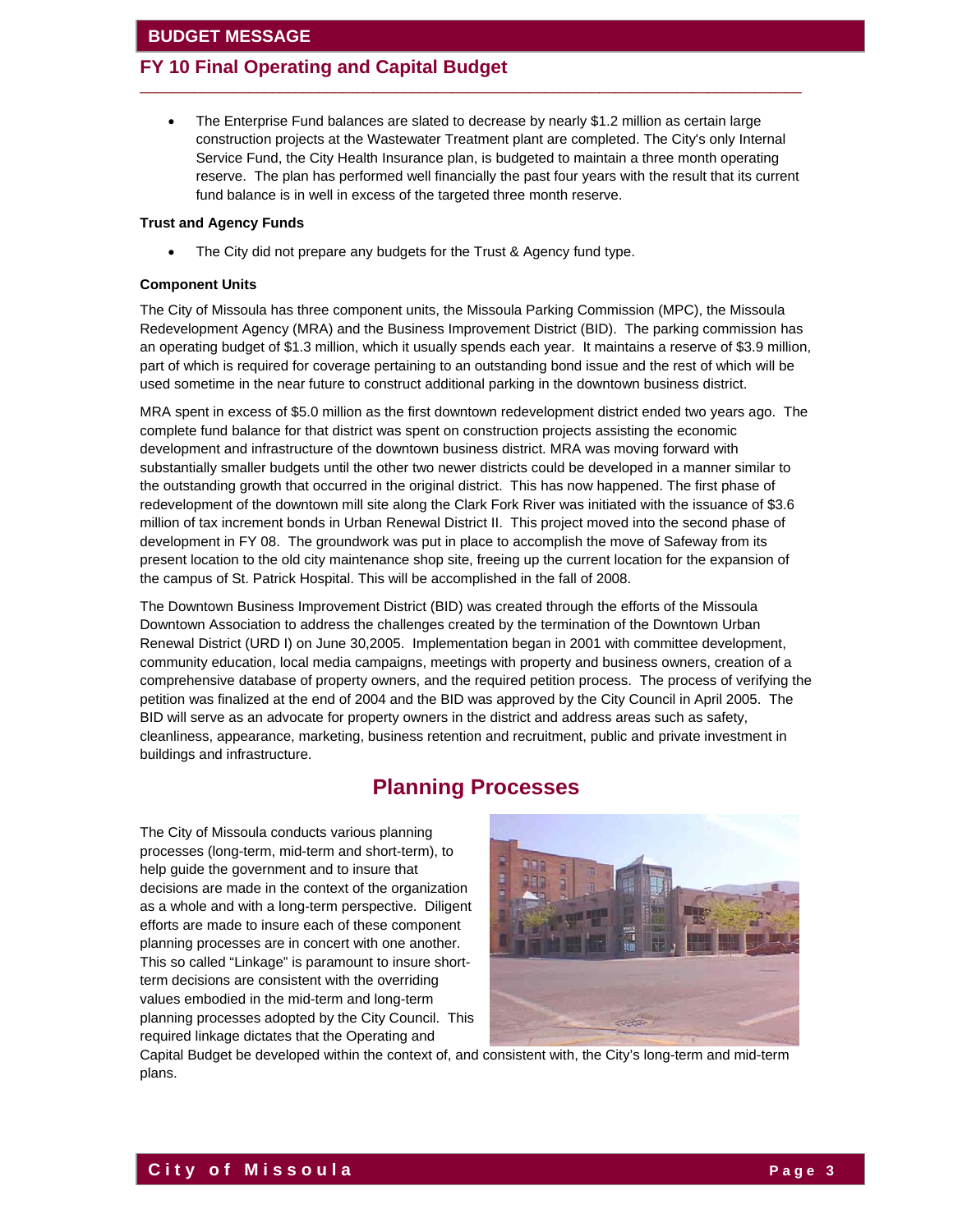### **FY 10 Final Operating and Capital Budget**

 The Enterprise Fund balances are slated to decrease by nearly \$1.2 million as certain large construction projects at the Wastewater Treatment plant are completed. The City's only Internal Service Fund, the City Health Insurance plan, is budgeted to maintain a three month operating reserve. The plan has performed well financially the past four years with the result that its current fund balance is in well in excess of the targeted three month reserve.

 $\overline{\phantom{a}}$  ,  $\overline{\phantom{a}}$  ,  $\overline{\phantom{a}}$  ,  $\overline{\phantom{a}}$  ,  $\overline{\phantom{a}}$  ,  $\overline{\phantom{a}}$  ,  $\overline{\phantom{a}}$  ,  $\overline{\phantom{a}}$  ,  $\overline{\phantom{a}}$  ,  $\overline{\phantom{a}}$  ,  $\overline{\phantom{a}}$  ,  $\overline{\phantom{a}}$  ,  $\overline{\phantom{a}}$  ,  $\overline{\phantom{a}}$  ,  $\overline{\phantom{a}}$  ,  $\overline{\phantom{a}}$ 

#### **Trust and Agency Funds**

The City did not prepare any budgets for the Trust & Agency fund type.

#### **Component Units**

The City of Missoula has three component units, the Missoula Parking Commission (MPC), the Missoula Redevelopment Agency (MRA) and the Business Improvement District (BID). The parking commission has an operating budget of \$1.3 million, which it usually spends each year. It maintains a reserve of \$3.9 million, part of which is required for coverage pertaining to an outstanding bond issue and the rest of which will be used sometime in the near future to construct additional parking in the downtown business district.

MRA spent in excess of \$5.0 million as the first downtown redevelopment district ended two years ago. The complete fund balance for that district was spent on construction projects assisting the economic development and infrastructure of the downtown business district. MRA was moving forward with substantially smaller budgets until the other two newer districts could be developed in a manner similar to the outstanding growth that occurred in the original district. This has now happened. The first phase of redevelopment of the downtown mill site along the Clark Fork River was initiated with the issuance of \$3.6 million of tax increment bonds in Urban Renewal District II. This project moved into the second phase of development in FY 08. The groundwork was put in place to accomplish the move of Safeway from its present location to the old city maintenance shop site, freeing up the current location for the expansion of the campus of St. Patrick Hospital. This will be accomplished in the fall of 2008.

The Downtown Business Improvement District (BID) was created through the efforts of the Missoula Downtown Association to address the challenges created by the termination of the Downtown Urban Renewal District (URD I) on June 30,2005. Implementation began in 2001 with committee development, community education, local media campaigns, meetings with property and business owners, creation of a comprehensive database of property owners, and the required petition process. The process of verifying the petition was finalized at the end of 2004 and the BID was approved by the City Council in April 2005. The BID will serve as an advocate for property owners in the district and address areas such as safety, cleanliness, appearance, marketing, business retention and recruitment, public and private investment in buildings and infrastructure.

# **Planning Processes**

The City of Missoula conducts various planning processes (long-term, mid-term and short-term), to help guide the government and to insure that decisions are made in the context of the organization as a whole and with a long-term perspective. Diligent efforts are made to insure each of these component planning processes are in concert with one another. This so called "Linkage" is paramount to insure shortterm decisions are consistent with the overriding values embodied in the mid-term and long-term planning processes adopted by the City Council. This required linkage dictates that the Operating and



Capital Budget be developed within the context of, and consistent with, the City's long-term and mid-term plans.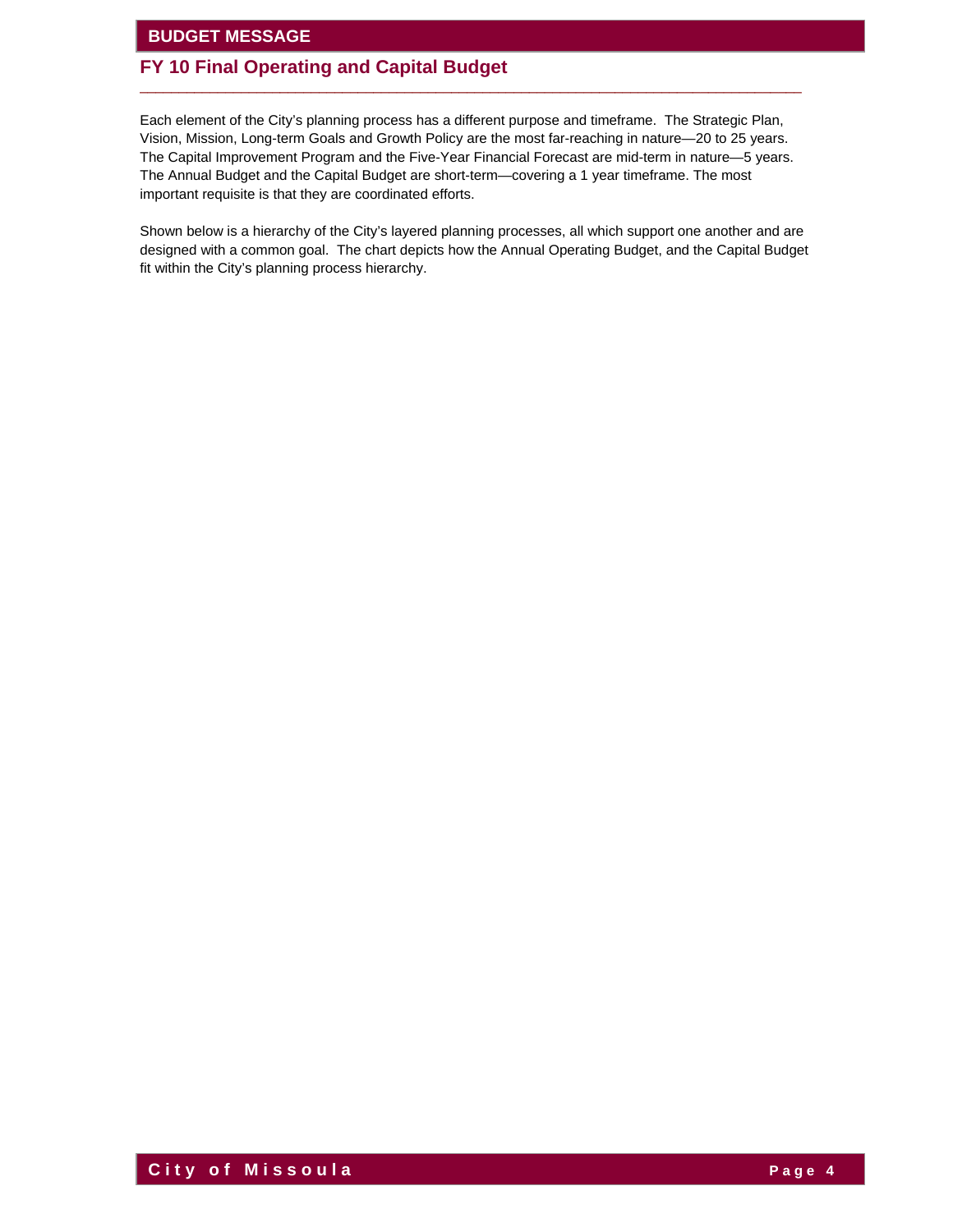# **FY 10 Final Operating and Capital Budget**

Each element of the City's planning process has a different purpose and timeframe. The Strategic Plan, Vision, Mission, Long-term Goals and Growth Policy are the most far-reaching in nature—20 to 25 years. The Capital Improvement Program and the Five-Year Financial Forecast are mid-term in nature—5 years. The Annual Budget and the Capital Budget are short-term—covering a 1 year timeframe. The most important requisite is that they are coordinated efforts.

 $\overline{\phantom{a}}$  ,  $\overline{\phantom{a}}$  ,  $\overline{\phantom{a}}$  ,  $\overline{\phantom{a}}$  ,  $\overline{\phantom{a}}$  ,  $\overline{\phantom{a}}$  ,  $\overline{\phantom{a}}$  ,  $\overline{\phantom{a}}$  ,  $\overline{\phantom{a}}$  ,  $\overline{\phantom{a}}$  ,  $\overline{\phantom{a}}$  ,  $\overline{\phantom{a}}$  ,  $\overline{\phantom{a}}$  ,  $\overline{\phantom{a}}$  ,  $\overline{\phantom{a}}$  ,  $\overline{\phantom{a}}$ 

Shown below is a hierarchy of the City's layered planning processes, all which support one another and are designed with a common goal. The chart depicts how the Annual Operating Budget, and the Capital Budget fit within the City's planning process hierarchy.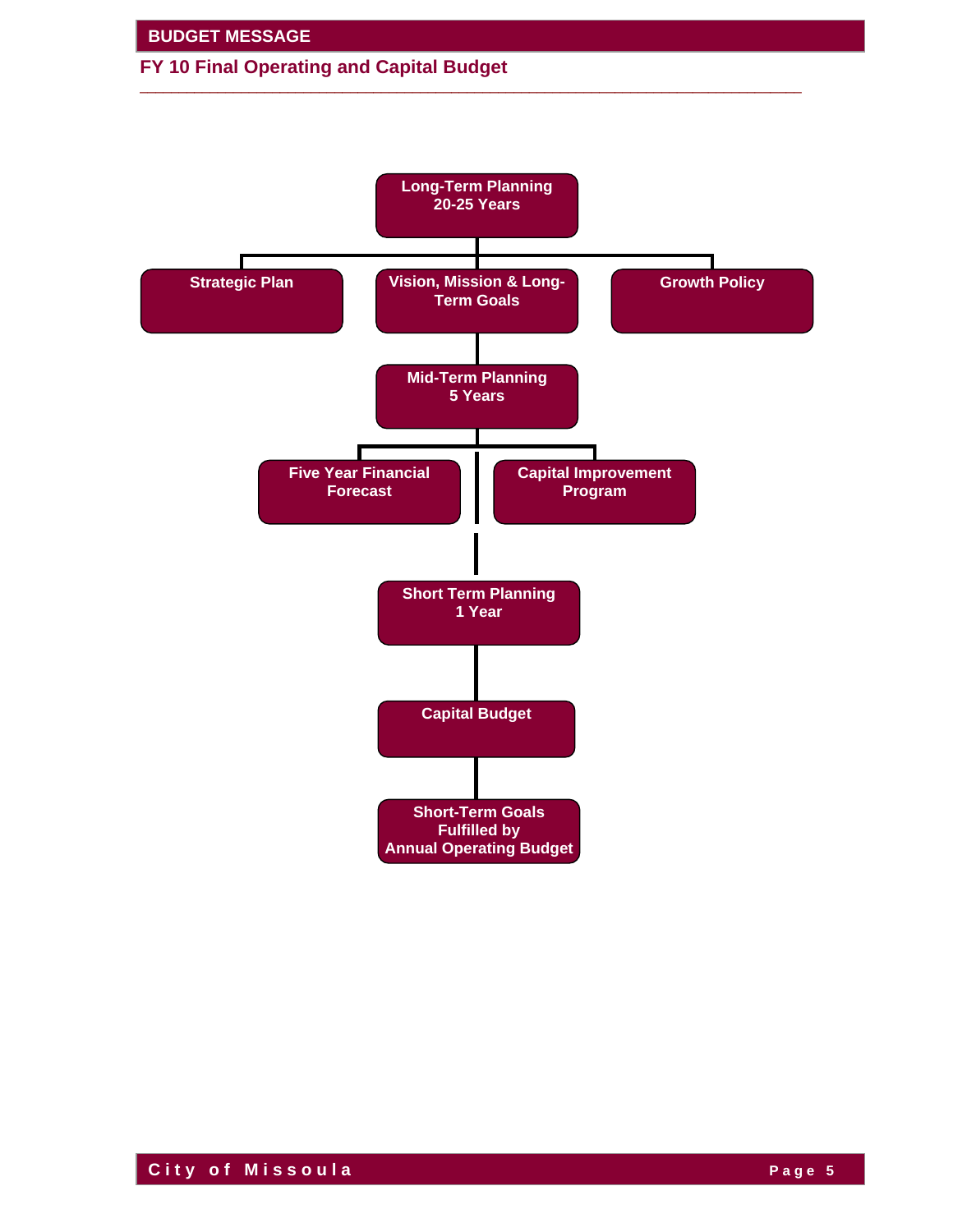



 $\overline{\phantom{a}}$  ,  $\overline{\phantom{a}}$  ,  $\overline{\phantom{a}}$  ,  $\overline{\phantom{a}}$  ,  $\overline{\phantom{a}}$  ,  $\overline{\phantom{a}}$  ,  $\overline{\phantom{a}}$  ,  $\overline{\phantom{a}}$  ,  $\overline{\phantom{a}}$  ,  $\overline{\phantom{a}}$  ,  $\overline{\phantom{a}}$  ,  $\overline{\phantom{a}}$  ,  $\overline{\phantom{a}}$  ,  $\overline{\phantom{a}}$  ,  $\overline{\phantom{a}}$  ,  $\overline{\phantom{a}}$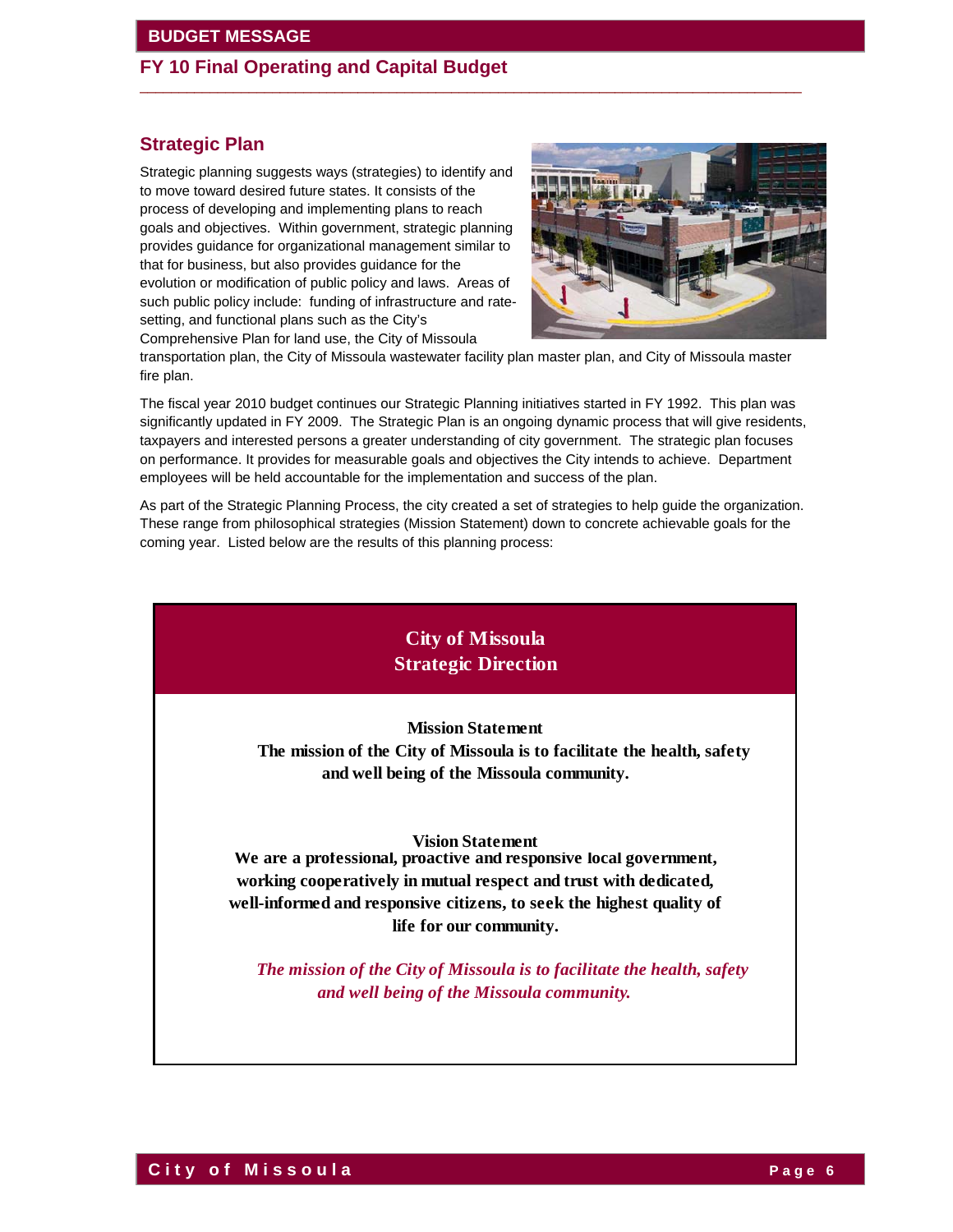# **FY 10 Final Operating and Capital Budget**

# **Strategic Plan**

Strategic planning suggests ways (strategies) to identify and to move toward desired future states. It consists of the process of developing and implementing plans to reach goals and objectives. Within government, strategic planning provides guidance for organizational management similar to that for business, but also provides guidance for the evolution or modification of public policy and laws. Areas of such public policy include: funding of infrastructure and ratesetting, and functional plans such as the City's Comprehensive Plan for land use, the City of Missoula



transportation plan, the City of Missoula wastewater facility plan master plan, and City of Missoula master fire plan.

 $\overline{\phantom{a}}$  ,  $\overline{\phantom{a}}$  ,  $\overline{\phantom{a}}$  ,  $\overline{\phantom{a}}$  ,  $\overline{\phantom{a}}$  ,  $\overline{\phantom{a}}$  ,  $\overline{\phantom{a}}$  ,  $\overline{\phantom{a}}$  ,  $\overline{\phantom{a}}$  ,  $\overline{\phantom{a}}$  ,  $\overline{\phantom{a}}$  ,  $\overline{\phantom{a}}$  ,  $\overline{\phantom{a}}$  ,  $\overline{\phantom{a}}$  ,  $\overline{\phantom{a}}$  ,  $\overline{\phantom{a}}$ 

The fiscal year 2010 budget continues our Strategic Planning initiatives started in FY 1992. This plan was significantly updated in FY 2009. The Strategic Plan is an ongoing dynamic process that will give residents, taxpayers and interested persons a greater understanding of city government. The strategic plan focuses on performance. It provides for measurable goals and objectives the City intends to achieve. Department employees will be held accountable for the implementation and success of the plan.

As part of the Strategic Planning Process, the city created a set of strategies to help guide the organization. These range from philosophical strategies (Mission Statement) down to concrete achievable goals for the coming year. Listed below are the results of this planning process:

# **City of Missoula Strategic Direction**

**Mission Statement**

 **The mission of the City of Missoula is to facilitate the health, safety and well being of the Missoula community.**

#### **Vision Statement**

 **We are a professional, proactive and responsive local government, working cooperatively in mutual respect and trust with dedicated, well-informed and responsive citizens, to seek the highest quality of life for our community.**

 *The mission of the City of Missoula is to facilitate the health, safety and well being of the Missoula community.*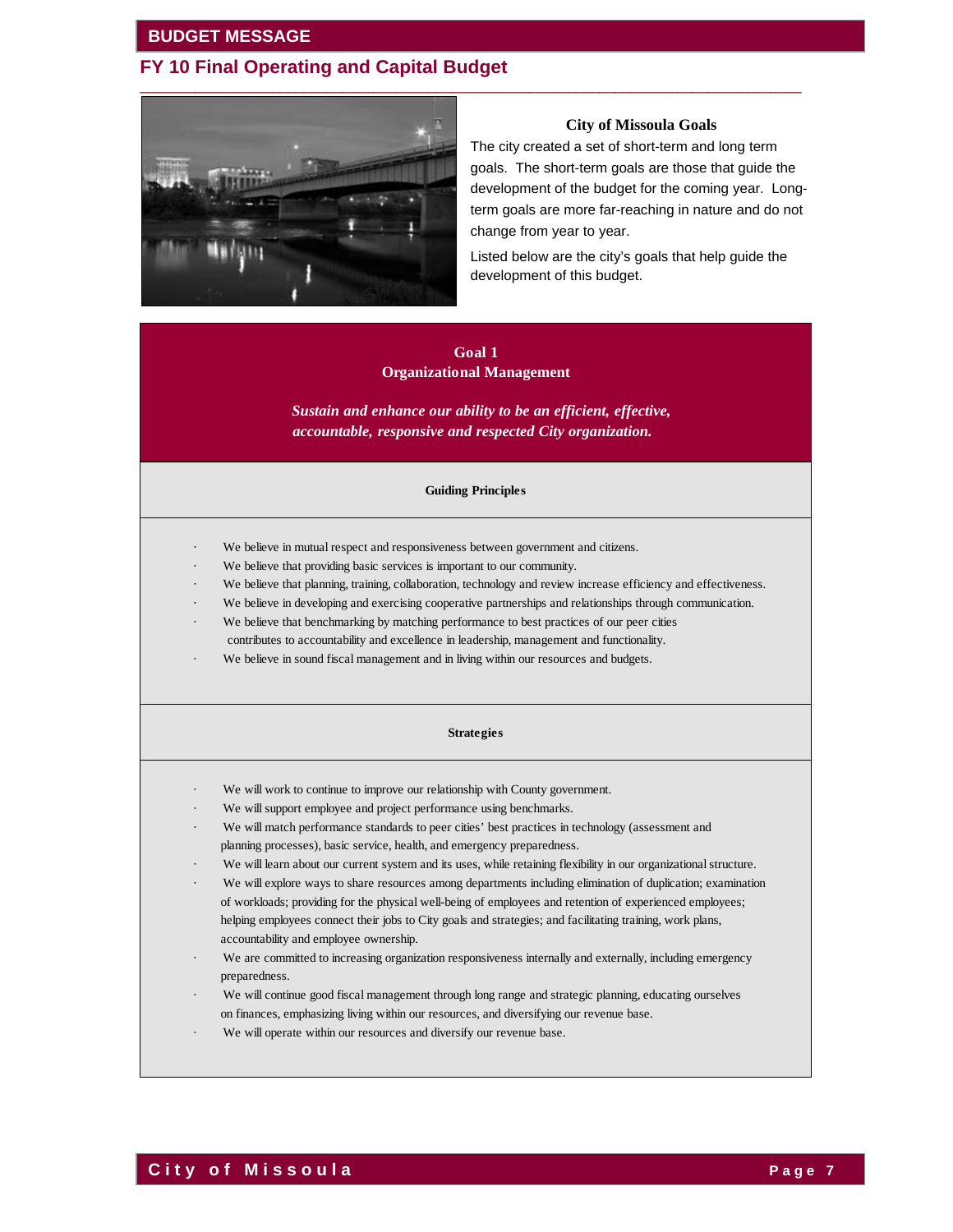## **FY 10 Final Operating and Capital Budget**



#### **City of Missoula Goals**

The city created a set of short-term and long term goals. The short-term goals are those that guide the development of the budget for the coming year. Longterm goals are more far-reaching in nature and do not change from year to year.

Listed below are the city's goals that help guide the development of this budget.

# **Goal 1**

**Organizational Management**

*accountable, responsive and respected City organization. Sustain and enhance our ability to be an efficient, effective,*

#### **Guiding Principles**

- We believe in mutual respect and responsiveness between government and citizens.
- We believe that providing basic services is important to our community.
- We believe that planning, training, collaboration, technology and review increase efficiency and effectiveness.
- We believe in developing and exercising cooperative partnerships and relationships through communication.
- We believe that benchmarking by matching performance to best practices of our peer cities contributes to accountability and excellence in leadership, management and functionality.
- We believe in sound fiscal management and in living within our resources and budgets.

#### **Strategies**

- We will work to continue to improve our relationship with County government.
- We will support employee and project performance using benchmarks.
- We will match performance standards to peer cities' best practices in technology (assessment and planning processes), basic service, health, and emergency preparedness.
- We will learn about our current system and its uses, while retaining flexibility in our organizational structure.
- We will explore ways to share resources among departments including elimination of duplication; examination of workloads; providing for the physical well-being of employees and retention of experienced employees; helping employees connect their jobs to City goals and strategies; and facilitating training, work plans, accountability and employee ownership.
- We are committed to increasing organization responsiveness internally and externally, including emergency preparedness.
- We will continue good fiscal management through long range and strategic planning, educating ourselves on finances, emphasizing living within our resources, and diversifying our revenue base.
- We will operate within our resources and diversify our revenue base.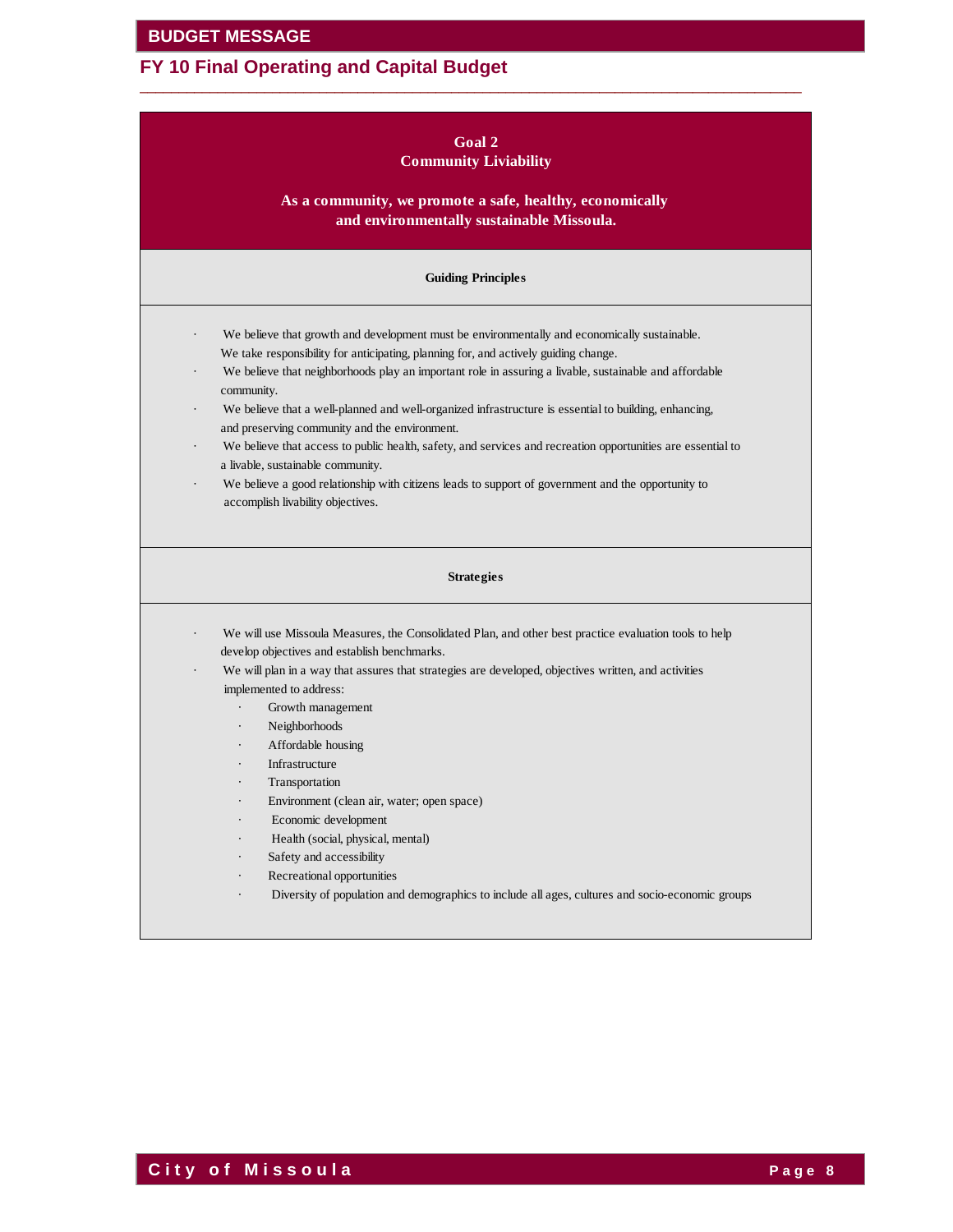# **FY 10 Final Operating and Capital Budget**

| Goal 2                       |  |  |  |  |  |  |  |
|------------------------------|--|--|--|--|--|--|--|
| <b>Community Liviability</b> |  |  |  |  |  |  |  |

 $\overline{\phantom{a}}$  ,  $\overline{\phantom{a}}$  ,  $\overline{\phantom{a}}$  ,  $\overline{\phantom{a}}$  ,  $\overline{\phantom{a}}$  ,  $\overline{\phantom{a}}$  ,  $\overline{\phantom{a}}$  ,  $\overline{\phantom{a}}$  ,  $\overline{\phantom{a}}$  ,  $\overline{\phantom{a}}$  ,  $\overline{\phantom{a}}$  ,  $\overline{\phantom{a}}$  ,  $\overline{\phantom{a}}$  ,  $\overline{\phantom{a}}$  ,  $\overline{\phantom{a}}$  ,  $\overline{\phantom{a}}$ 

**As a community, we promote a safe, healthy, economically and environmentally sustainable Missoula.** 

#### **Guiding Principles**

- We believe that growth and development must be environmentally and economically sustainable. We take responsibility for anticipating, planning for, and actively guiding change.
- We believe that neighborhoods play an important role in assuring a livable, sustainable and affordable community.
- We believe that a well-planned and well-organized infrastructure is essential to building, enhancing, and preserving community and the environment.
- We believe that access to public health, safety, and services and recreation opportunities are essential to a livable, sustainable community.
- We believe a good relationship with citizens leads to support of government and the opportunity to accomplish livability objectives.

#### **Strategies**

- We will use Missoula Measures, the Consolidated Plan, and other best practice evaluation tools to help develop objectives and establish benchmarks.
- We will plan in a way that assures that strategies are developed, objectives written, and activities implemented to address:
	- Growth management
	- Neighborhoods
	- Affordable housing
	- **Infrastructure**
	- **Transportation**
	- Environment (clean air, water; open space)
	- Economic development
	- · Health (social, physical, mental)
	- Safety and accessibility
	- Recreational opportunities
	- Diversity of population and demographics to include all ages, cultures and socio-economic groups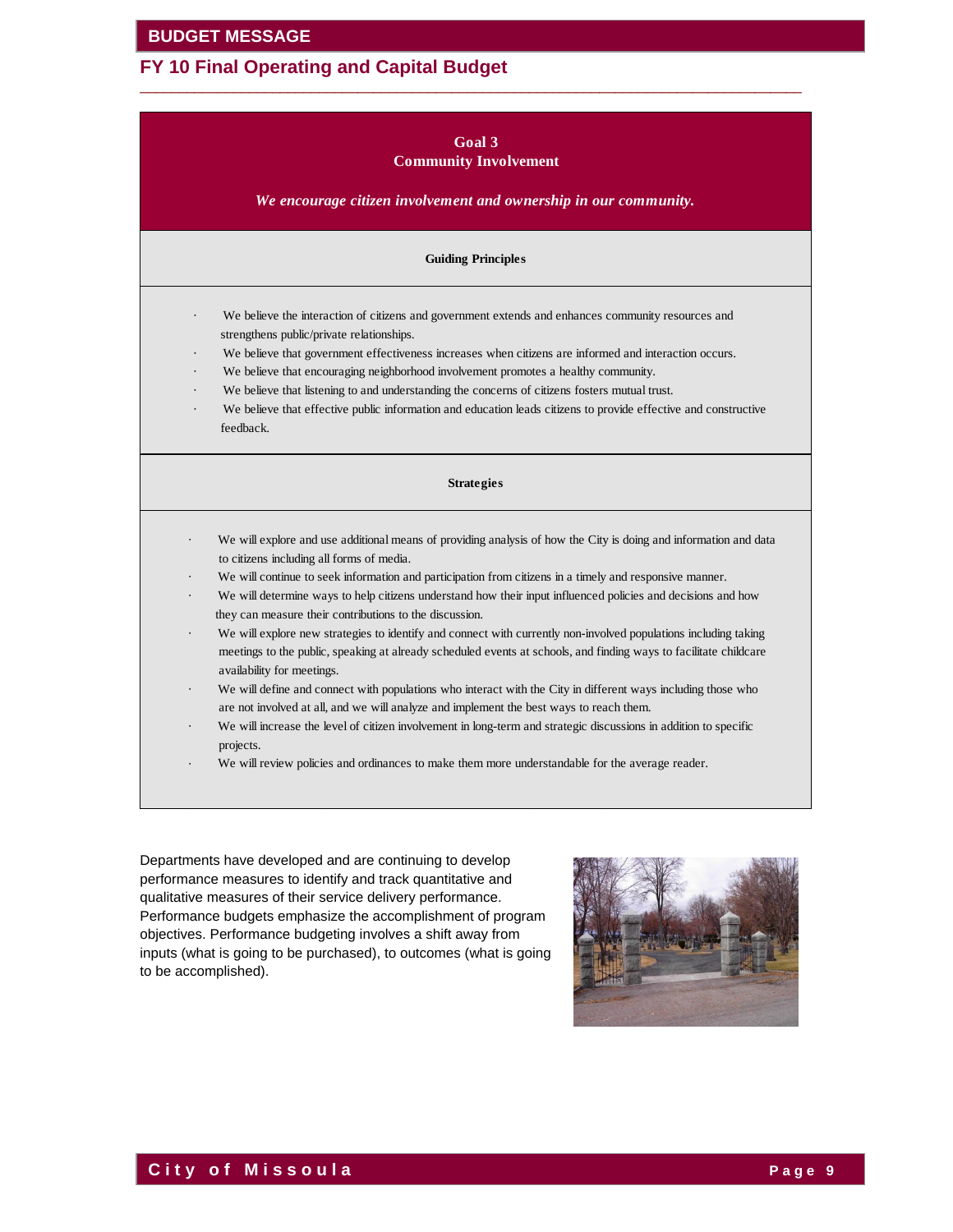| Goal 3<br><b>Community Involvement</b><br>We encourage citizen involvement and ownership in our community. |                                                                                                                                                                                                                                                                                                                                                                                                                                                                                                                                                                                                                                                                                                                                                                                                                                                                                                                                                                                                                                                                                                                                                                          |  |  |  |  |  |  |  |
|------------------------------------------------------------------------------------------------------------|--------------------------------------------------------------------------------------------------------------------------------------------------------------------------------------------------------------------------------------------------------------------------------------------------------------------------------------------------------------------------------------------------------------------------------------------------------------------------------------------------------------------------------------------------------------------------------------------------------------------------------------------------------------------------------------------------------------------------------------------------------------------------------------------------------------------------------------------------------------------------------------------------------------------------------------------------------------------------------------------------------------------------------------------------------------------------------------------------------------------------------------------------------------------------|--|--|--|--|--|--|--|
| <b>Guiding Principles</b>                                                                                  |                                                                                                                                                                                                                                                                                                                                                                                                                                                                                                                                                                                                                                                                                                                                                                                                                                                                                                                                                                                                                                                                                                                                                                          |  |  |  |  |  |  |  |
|                                                                                                            | We believe the interaction of citizens and government extends and enhances community resources and<br>strengthens public/private relationships.<br>We believe that government effectiveness increases when citizens are informed and interaction occurs.<br>We believe that encouraging neighborhood involvement promotes a healthy community.<br>We believe that listening to and understanding the concerns of citizens fosters mutual trust.<br>We believe that effective public information and education leads citizens to provide effective and constructive<br>feedback.                                                                                                                                                                                                                                                                                                                                                                                                                                                                                                                                                                                          |  |  |  |  |  |  |  |
|                                                                                                            | <b>Strategies</b>                                                                                                                                                                                                                                                                                                                                                                                                                                                                                                                                                                                                                                                                                                                                                                                                                                                                                                                                                                                                                                                                                                                                                        |  |  |  |  |  |  |  |
|                                                                                                            | We will explore and use additional means of providing analysis of how the City is doing and information and data<br>to citizens including all forms of media.<br>We will continue to seek information and participation from citizens in a timely and responsive manner.<br>We will determine ways to help citizens understand how their input influenced policies and decisions and how<br>they can measure their contributions to the discussion.<br>We will explore new strategies to identify and connect with currently non-involved populations including taking<br>meetings to the public, speaking at already scheduled events at schools, and finding ways to facilitate childcare<br>availability for meetings.<br>We will define and connect with populations who interact with the City in different ways including those who<br>are not involved at all, and we will analyze and implement the best ways to reach them.<br>We will increase the level of citizen involvement in long-term and strategic discussions in addition to specific<br>projects.<br>We will review policies and ordinances to make them more understandable for the average reader. |  |  |  |  |  |  |  |

 $\overline{\phantom{a}}$  ,  $\overline{\phantom{a}}$  ,  $\overline{\phantom{a}}$  ,  $\overline{\phantom{a}}$  ,  $\overline{\phantom{a}}$  ,  $\overline{\phantom{a}}$  ,  $\overline{\phantom{a}}$  ,  $\overline{\phantom{a}}$  ,  $\overline{\phantom{a}}$  ,  $\overline{\phantom{a}}$  ,  $\overline{\phantom{a}}$  ,  $\overline{\phantom{a}}$  ,  $\overline{\phantom{a}}$  ,  $\overline{\phantom{a}}$  ,  $\overline{\phantom{a}}$  ,  $\overline{\phantom{a}}$ 

Departments have developed and are continuing to develop performance measures to identify and track quantitative and qualitative measures of their service delivery performance. Performance budgets emphasize the accomplishment of program objectives. Performance budgeting involves a shift away from inputs (what is going to be purchased), to outcomes (what is going to be accomplished).

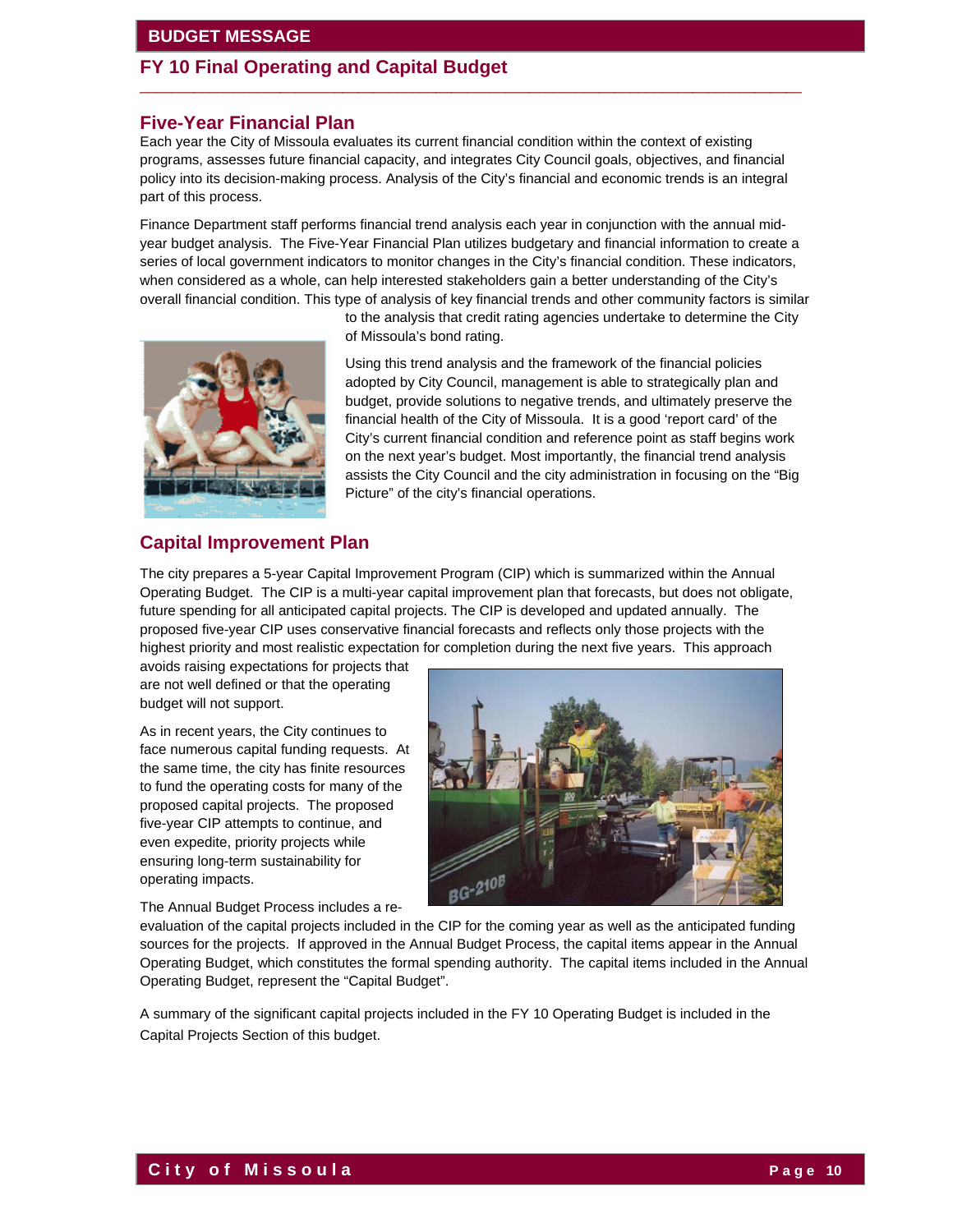# **FY 10 Final Operating and Capital Budget**

### **Five-Year Financial Plan**

Each year the City of Missoula evaluates its current financial condition within the context of existing programs, assesses future financial capacity, and integrates City Council goals, objectives, and financial policy into its decision-making process. Analysis of the City's financial and economic trends is an integral part of this process.

 $\overline{\phantom{a}}$  ,  $\overline{\phantom{a}}$  ,  $\overline{\phantom{a}}$  ,  $\overline{\phantom{a}}$  ,  $\overline{\phantom{a}}$  ,  $\overline{\phantom{a}}$  ,  $\overline{\phantom{a}}$  ,  $\overline{\phantom{a}}$  ,  $\overline{\phantom{a}}$  ,  $\overline{\phantom{a}}$  ,  $\overline{\phantom{a}}$  ,  $\overline{\phantom{a}}$  ,  $\overline{\phantom{a}}$  ,  $\overline{\phantom{a}}$  ,  $\overline{\phantom{a}}$  ,  $\overline{\phantom{a}}$ 

Finance Department staff performs financial trend analysis each year in conjunction with the annual midyear budget analysis. The Five-Year Financial Plan utilizes budgetary and financial information to create a series of local government indicators to monitor changes in the City's financial condition. These indicators, when considered as a whole, can help interested stakeholders gain a better understanding of the City's overall financial condition. This type of analysis of key financial trends and other community factors is similar

> to the analysis that credit rating agencies undertake to determine the City of Missoula's bond rating.



Using this trend analysis and the framework of the financial policies adopted by City Council, management is able to strategically plan and budget, provide solutions to negative trends, and ultimately preserve the financial health of the City of Missoula. It is a good 'report card' of the City's current financial condition and reference point as staff begins work on the next year's budget. Most importantly, the financial trend analysis assists the City Council and the city administration in focusing on the "Big Picture" of the city's financial operations.

### **Capital Improvement Plan**

The city prepares a 5-year Capital Improvement Program (CIP) which is summarized within the Annual Operating Budget. The CIP is a multi-year capital improvement plan that forecasts, but does not obligate, future spending for all anticipated capital projects. The CIP is developed and updated annually. The proposed five-year CIP uses conservative financial forecasts and reflects only those projects with the highest priority and most realistic expectation for completion during the next five years. This approach

avoids raising expectations for projects that are not well defined or that the operating budget will not support.

As in recent years, the City continues to face numerous capital funding requests. At the same time, the city has finite resources to fund the operating costs for many of the proposed capital projects. The proposed five-year CIP attempts to continue, and even expedite, priority projects while ensuring long-term sustainability for operating impacts.

The Annual Budget Process includes a re-



evaluation of the capital projects included in the CIP for the coming year as well as the anticipated funding sources for the projects. If approved in the Annual Budget Process, the capital items appear in the Annual Operating Budget, which constitutes the formal spending authority. The capital items included in the Annual Operating Budget, represent the "Capital Budget".

A summary of the significant capital projects included in the FY 10 Operating Budget is included in the Capital Projects Section of this budget.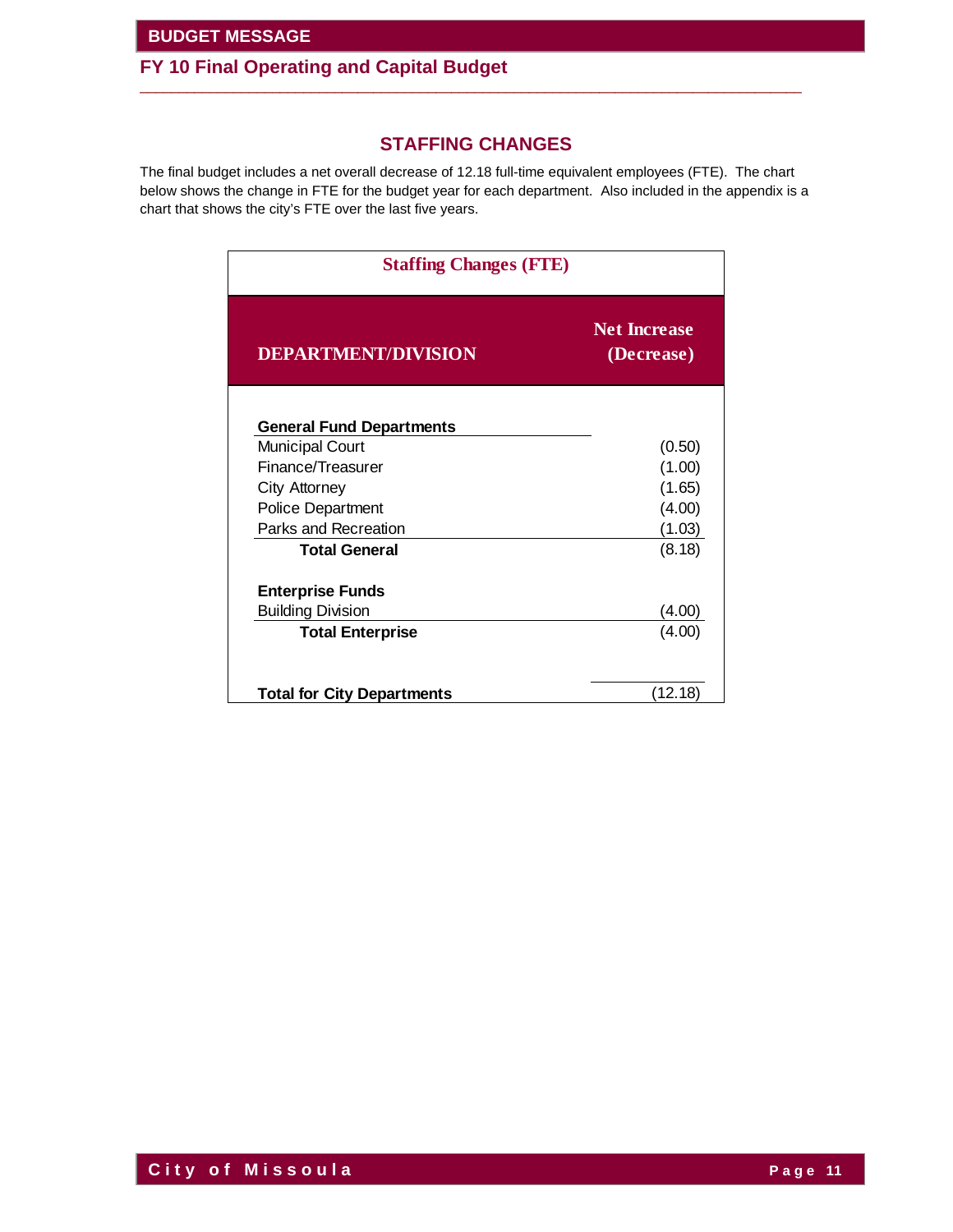# **FY 10 Final Operating and Capital Budget**

# **STAFFING CHANGES**

 $\overline{\phantom{a}}$  ,  $\overline{\phantom{a}}$  ,  $\overline{\phantom{a}}$  ,  $\overline{\phantom{a}}$  ,  $\overline{\phantom{a}}$  ,  $\overline{\phantom{a}}$  ,  $\overline{\phantom{a}}$  ,  $\overline{\phantom{a}}$  ,  $\overline{\phantom{a}}$  ,  $\overline{\phantom{a}}$  ,  $\overline{\phantom{a}}$  ,  $\overline{\phantom{a}}$  ,  $\overline{\phantom{a}}$  ,  $\overline{\phantom{a}}$  ,  $\overline{\phantom{a}}$  ,  $\overline{\phantom{a}}$ 

The final budget includes a net overall decrease of 12.18 full-time equivalent employees (FTE). The chart below shows the change in FTE for the budget year for each department. Also included in the appendix is a chart that shows the city's FTE over the last five years.

| <b>Staffing Changes (FTE)</b>     |                                   |  |  |  |  |
|-----------------------------------|-----------------------------------|--|--|--|--|
| <b>DEPARTMENT/DIVISION</b>        | <b>Net Increase</b><br>(Decrease) |  |  |  |  |
| <b>General Fund Departments</b>   |                                   |  |  |  |  |
| <b>Municipal Court</b>            | (0.50)                            |  |  |  |  |
| Finance/Treasurer                 | (1.00)                            |  |  |  |  |
| City Attorney                     | (1.65)                            |  |  |  |  |
| <b>Police Department</b>          | (4.00)                            |  |  |  |  |
| Parks and Recreation              | (1.03)                            |  |  |  |  |
| <b>Total General</b>              | (8.18)                            |  |  |  |  |
| <b>Enterprise Funds</b>           |                                   |  |  |  |  |
| <b>Building Division</b>          | (4.00)                            |  |  |  |  |
| <b>Total Enterprise</b>           | (4.00)                            |  |  |  |  |
|                                   |                                   |  |  |  |  |
| <b>Total for City Departments</b> | (12.18)                           |  |  |  |  |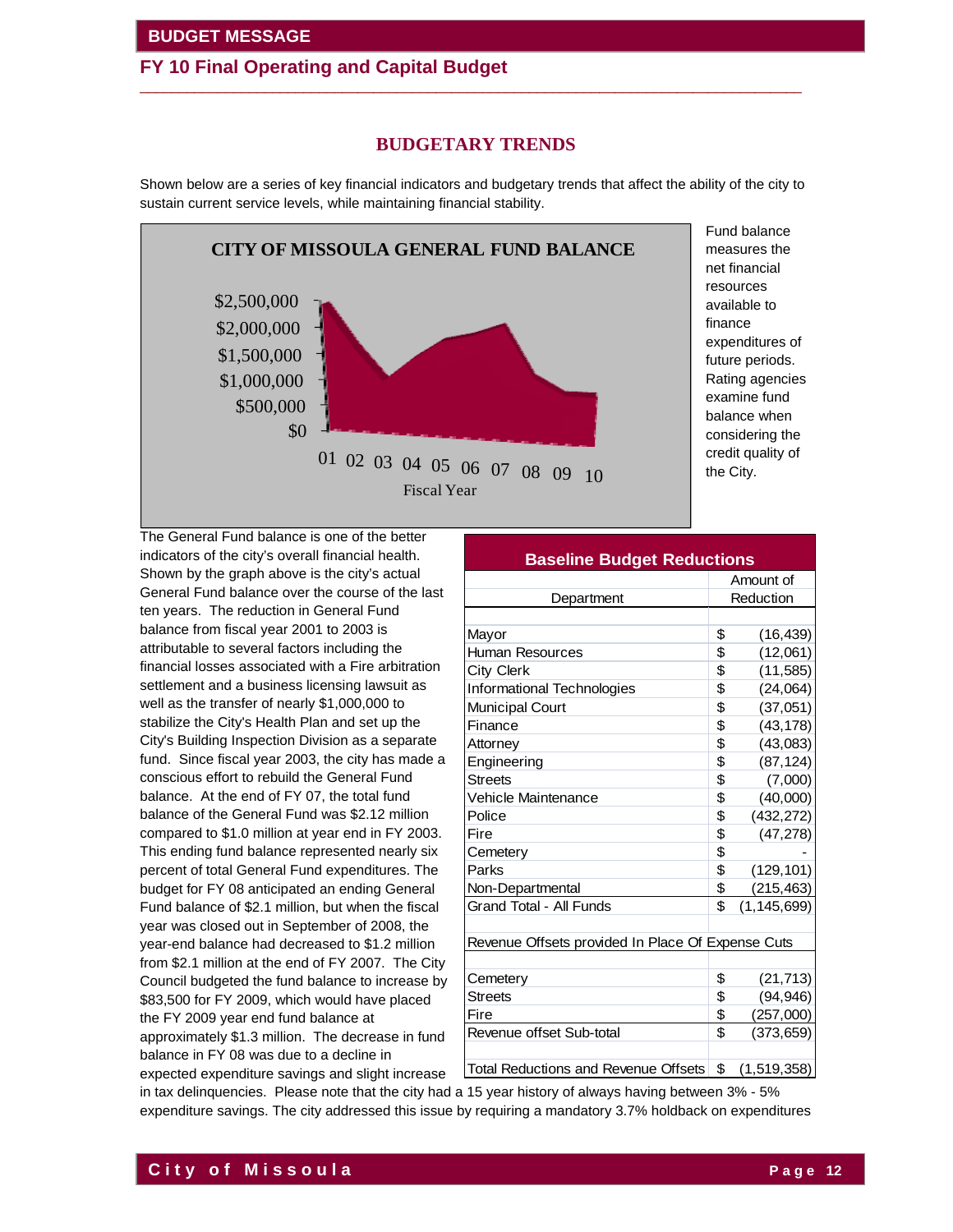### **FY 10 Final Operating and Capital Budget**   $\overline{\phantom{a}}$  ,  $\overline{\phantom{a}}$  ,  $\overline{\phantom{a}}$  ,  $\overline{\phantom{a}}$  ,  $\overline{\phantom{a}}$  ,  $\overline{\phantom{a}}$  ,  $\overline{\phantom{a}}$  ,  $\overline{\phantom{a}}$  ,  $\overline{\phantom{a}}$  ,  $\overline{\phantom{a}}$  ,  $\overline{\phantom{a}}$  ,  $\overline{\phantom{a}}$  ,  $\overline{\phantom{a}}$  ,  $\overline{\phantom{a}}$  ,  $\overline{\phantom{a}}$  ,  $\overline{\phantom{a}}$

### **BUDGETARY TRENDS**

Shown below are a series of key financial indicators and budgetary trends that affect the ability of the city to sustain current service levels, while maintaining financial stability.



Fund balance measures the net financial resources available to finance expenditures of future periods. Rating agencies examine fund balance when considering the credit quality of the City.

The General Fund balance is one of the better indicators of the city's overall financial health. Shown by the graph above is the city's actual General Fund balance over the course of the last ten years. The reduction in General Fund balance from fiscal year 2001 to 2003 is attributable to several factors including the financial losses associated with a Fire arbitration settlement and a business licensing lawsuit as well as the transfer of nearly \$1,000,000 to stabilize the City's Health Plan and set up the City's Building Inspection Division as a separate fund. Since fiscal year 2003, the city has made a conscious effort to rebuild the General Fund balance. At the end of FY 07, the total fund balance of the General Fund was \$2.12 million compared to \$1.0 million at year end in FY 2003. This ending fund balance represented nearly six percent of total General Fund expenditures. The budget for FY 08 anticipated an ending General Fund balance of \$2.1 million, but when the fiscal year was closed out in September of 2008, the year-end balance had decreased to \$1.2 million from \$2.1 million at the end of FY 2007. The City Council budgeted the fund balance to increase by \$83,500 for FY 2009, which would have placed the FY 2009 year end fund balance at approximately \$1.3 million. The decrease in fund balance in FY 08 was due to a decline in

expected expenditure savings and slight increase

| <b>Baseline Budget Reductions</b>                 |           |               |  |  |  |  |
|---------------------------------------------------|-----------|---------------|--|--|--|--|
|                                                   | Amount of |               |  |  |  |  |
| Department                                        | Reduction |               |  |  |  |  |
|                                                   |           |               |  |  |  |  |
| Mayor                                             | \$        | (16, 439)     |  |  |  |  |
| <b>Human Resources</b>                            | \$        | (12,061)      |  |  |  |  |
| City Clerk                                        | \$        | (11, 585)     |  |  |  |  |
| Informational Technologies                        | \$        | (24,064)      |  |  |  |  |
| <b>Municipal Court</b>                            | \$        | (37,051)      |  |  |  |  |
| Finance                                           | \$        | (43, 178)     |  |  |  |  |
| Attorney                                          | \$        | (43,083)      |  |  |  |  |
| Engineering                                       | \$        | (87, 124)     |  |  |  |  |
| <b>Streets</b>                                    | \$        | (7,000)       |  |  |  |  |
| Vehicle Maintenance                               | \$        | (40,000)      |  |  |  |  |
| Police                                            | \$        | (432, 272)    |  |  |  |  |
| Fire                                              | \$        | (47, 278)     |  |  |  |  |
| Cemetery                                          | \$        |               |  |  |  |  |
| Parks                                             | \$        | (129, 101)    |  |  |  |  |
| Non-Departmental                                  | \$        | (215, 463)    |  |  |  |  |
| Grand Total - All Funds                           | \$        | (1, 145, 699) |  |  |  |  |
|                                                   |           |               |  |  |  |  |
| Revenue Offsets provided In Place Of Expense Cuts |           |               |  |  |  |  |
|                                                   |           |               |  |  |  |  |
| Cemetery                                          | \$        | (21, 713)     |  |  |  |  |
| Streets                                           | \$        | (94, 946)     |  |  |  |  |
| Fire                                              | \$        | (257,000)     |  |  |  |  |
| Revenue offset Sub-total                          | \$        | (373, 659)    |  |  |  |  |
|                                                   |           |               |  |  |  |  |
| Total Reductions and Revenue Offsets              | \$        | (1,519,358)   |  |  |  |  |

in tax delinquencies. Please note that the city had a 15 year history of always having between 3% - 5% expenditure savings. The city addressed this issue by requiring a mandatory 3.7% holdback on expenditures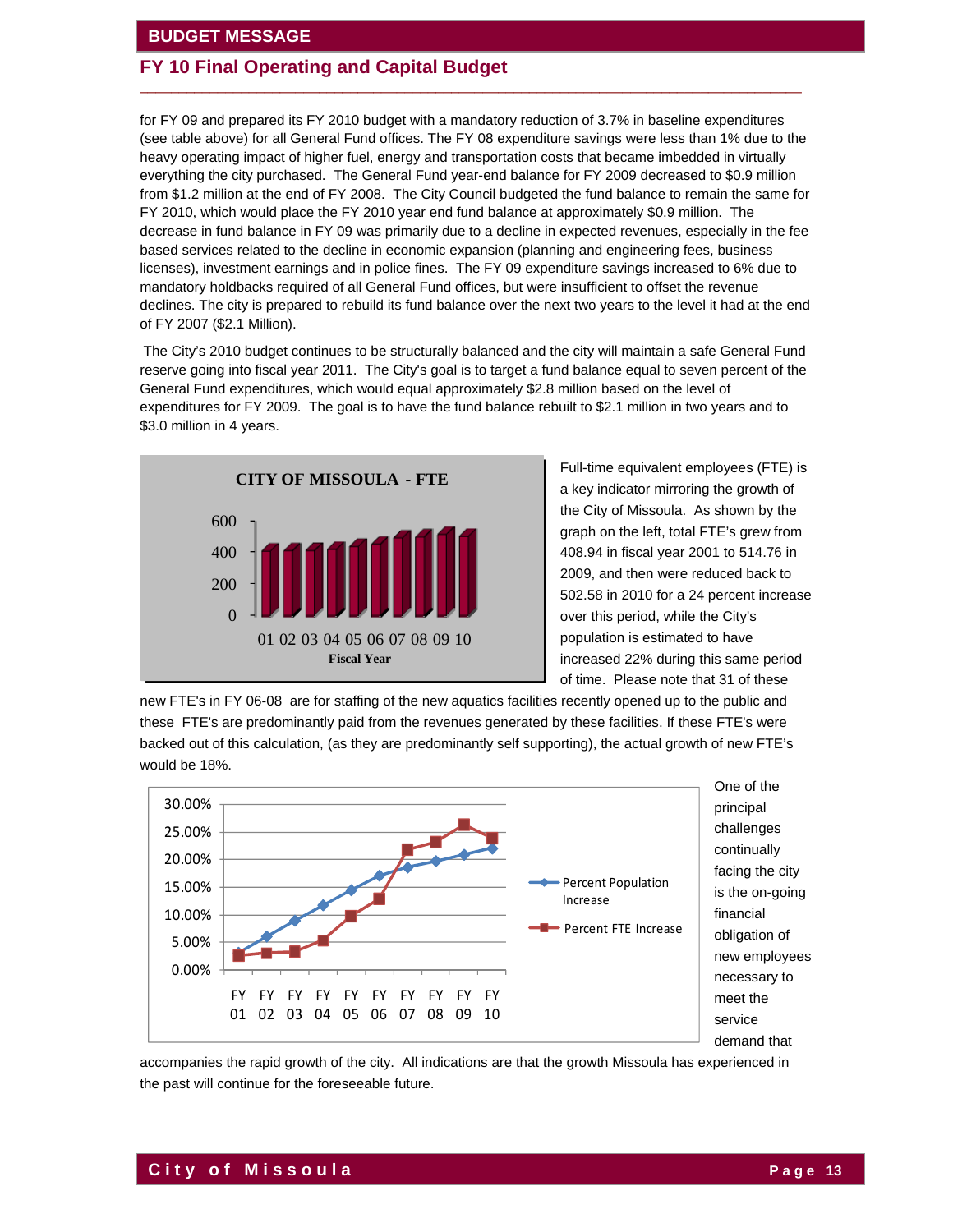## **FY 10 Final Operating and Capital Budget**

for FY 09 and prepared its FY 2010 budget with a mandatory reduction of 3.7% in baseline expenditures (see table above) for all General Fund offices. The FY 08 expenditure savings were less than 1% due to the heavy operating impact of higher fuel, energy and transportation costs that became imbedded in virtually everything the city purchased. The General Fund year-end balance for FY 2009 decreased to \$0.9 million from \$1.2 million at the end of FY 2008. The City Council budgeted the fund balance to remain the same for FY 2010, which would place the FY 2010 year end fund balance at approximately \$0.9 million. The decrease in fund balance in FY 09 was primarily due to a decline in expected revenues, especially in the fee based services related to the decline in economic expansion (planning and engineering fees, business licenses), investment earnings and in police fines. The FY 09 expenditure savings increased to 6% due to mandatory holdbacks required of all General Fund offices, but were insufficient to offset the revenue declines. The city is prepared to rebuild its fund balance over the next two years to the level it had at the end of FY 2007 (\$2.1 Million).

 $\overline{\phantom{a}}$  ,  $\overline{\phantom{a}}$  ,  $\overline{\phantom{a}}$  ,  $\overline{\phantom{a}}$  ,  $\overline{\phantom{a}}$  ,  $\overline{\phantom{a}}$  ,  $\overline{\phantom{a}}$  ,  $\overline{\phantom{a}}$  ,  $\overline{\phantom{a}}$  ,  $\overline{\phantom{a}}$  ,  $\overline{\phantom{a}}$  ,  $\overline{\phantom{a}}$  ,  $\overline{\phantom{a}}$  ,  $\overline{\phantom{a}}$  ,  $\overline{\phantom{a}}$  ,  $\overline{\phantom{a}}$ 

The City's 2010 budget continues to be structurally balanced and the city will maintain a safe General Fund reserve going into fiscal year 2011. The City's goal is to target a fund balance equal to seven percent of the General Fund expenditures, which would equal approximately \$2.8 million based on the level of expenditures for FY 2009. The goal is to have the fund balance rebuilt to \$2.1 million in two years and to \$3.0 million in 4 years.



Full-time equivalent employees (FTE) is a key indicator mirroring the growth of the City of Missoula. As shown by the graph on the left, total FTE's grew from 408.94 in fiscal year 2001 to 514.76 in 2009, and then were reduced back to 502.58 in 2010 for a 24 percent increase over this period, while the City's population is estimated to have increased 22% during this same period of time. Please note that 31 of these

new FTE's in FY 06-08 are for staffing of the new aquatics facilities recently opened up to the public and these FTE's are predominantly paid from the revenues generated by these facilities. If these FTE's were backed out of this calculation, (as they are predominantly self supporting), the actual growth of new FTE's would be 18%.



principal challenges continually facing the city is the on-going financial obligation of new employees necessary to meet the service demand that

accompanies the rapid growth of the city. All indications are that the growth Missoula has experienced in the past will continue for the foreseeable future.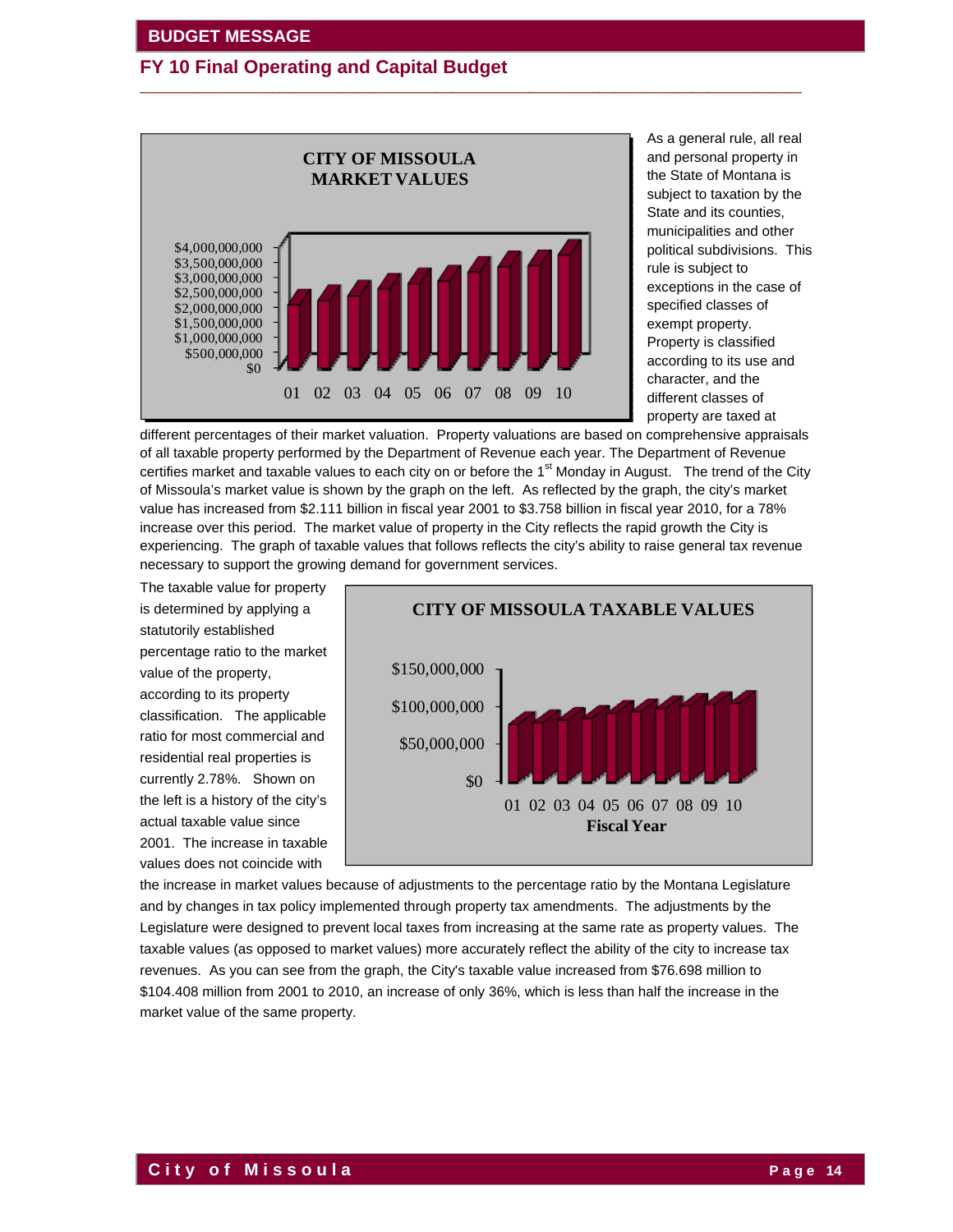

As a general rule, all real and personal property in the State of Montana is subject to taxation by the State and its counties, municipalities and other political subdivisions. This rule is subject to exceptions in the case of specified classes of exempt property. Property is classified according to its use and character, and the different classes of property are taxed at

different percentages of their market valuation. Property valuations are based on comprehensive appraisals of all taxable property performed by the Department of Revenue each year. The Department of Revenue certifies market and taxable values to each city on or before the 1<sup>st</sup> Monday in August. The trend of the City of Missoula's market value is shown by the graph on the left. As reflected by the graph, the city's market value has increased from \$2.111 billion in fiscal year 2001 to \$3.758 billion in fiscal year 2010, for a 78% increase over this period. The market value of property in the City reflects the rapid growth the City is experiencing. The graph of taxable values that follows reflects the city's ability to raise general tax revenue necessary to support the growing demand for government services.

 $\overline{\phantom{a}}$  ,  $\overline{\phantom{a}}$  ,  $\overline{\phantom{a}}$  ,  $\overline{\phantom{a}}$  ,  $\overline{\phantom{a}}$  ,  $\overline{\phantom{a}}$  ,  $\overline{\phantom{a}}$  ,  $\overline{\phantom{a}}$  ,  $\overline{\phantom{a}}$  ,  $\overline{\phantom{a}}$  ,  $\overline{\phantom{a}}$  ,  $\overline{\phantom{a}}$  ,  $\overline{\phantom{a}}$  ,  $\overline{\phantom{a}}$  ,  $\overline{\phantom{a}}$  ,  $\overline{\phantom{a}}$ 

The taxable value for property is determined by applying a statutorily established percentage ratio to the market value of the property, according to its property classification. The applicable ratio for most commercial and residential real properties is currently 2.78%. Shown on the left is a history of the city's actual taxable value since 2001. The increase in taxable values does not coincide with



the increase in market values because of adjustments to the percentage ratio by the Montana Legislature and by changes in tax policy implemented through property tax amendments. The adjustments by the Legislature were designed to prevent local taxes from increasing at the same rate as property values. The taxable values (as opposed to market values) more accurately reflect the ability of the city to increase tax revenues. As you can see from the graph, the City's taxable value increased from \$76.698 million to \$104.408 million from 2001 to 2010, an increase of only 36%, which is less than half the increase in the market value of the same property.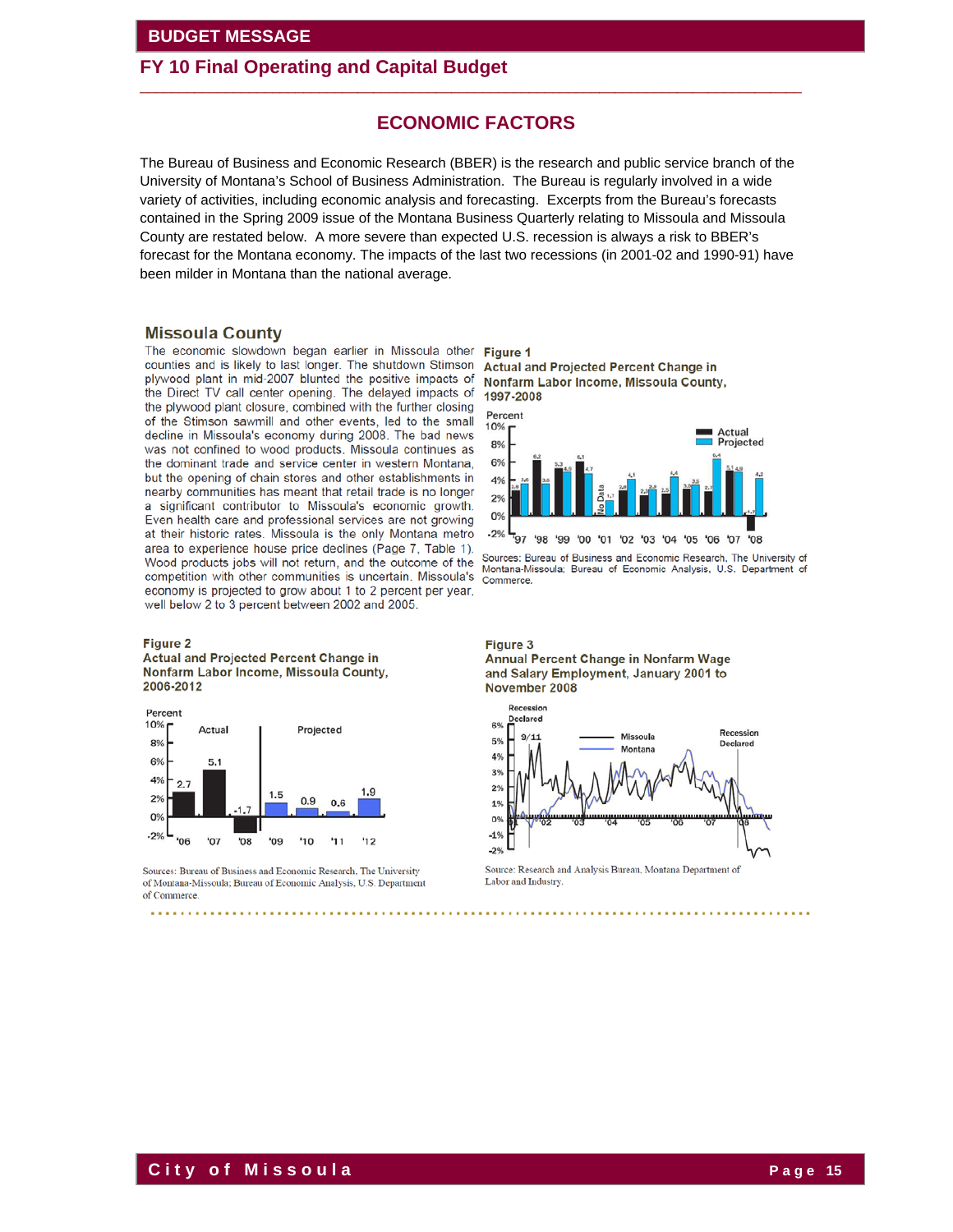### **FY 10 Final Operating and Capital Budget**

### **ECONOMIC FACTORS**

 $\overline{\phantom{a}}$  ,  $\overline{\phantom{a}}$  ,  $\overline{\phantom{a}}$  ,  $\overline{\phantom{a}}$  ,  $\overline{\phantom{a}}$  ,  $\overline{\phantom{a}}$  ,  $\overline{\phantom{a}}$  ,  $\overline{\phantom{a}}$  ,  $\overline{\phantom{a}}$  ,  $\overline{\phantom{a}}$  ,  $\overline{\phantom{a}}$  ,  $\overline{\phantom{a}}$  ,  $\overline{\phantom{a}}$  ,  $\overline{\phantom{a}}$  ,  $\overline{\phantom{a}}$  ,  $\overline{\phantom{a}}$ 

The Bureau of Business and Economic Research (BBER) is the research and public service branch of the University of Montana's School of Business Administration. The Bureau is regularly involved in a wide variety of activities, including economic analysis and forecasting. Excerpts from the Bureau's forecasts contained in the Spring 2009 issue of the Montana Business Quarterly relating to Missoula and Missoula County are restated below. A more severe than expected U.S. recession is always a risk to BBER's forecast for the Montana economy. The impacts of the last two recessions (in 2001-02 and 1990-91) have been milder in Montana than the national average.

#### **Missoula County**

The economic slowdown began earlier in Missoula other counties and is likely to last longer. The shutdown Stimson plywood plant in mid-2007 blunted the positive impacts of the Direct TV call center opening. The delayed impacts of the plywood plant closure, combined with the further closing of the Stimson sawmill and other events, led to the small decline in Missoula's economy during 2008. The bad news was not confined to wood products. Missoula continues as the dominant trade and service center in western Montana, but the opening of chain stores and other establishments in nearby communities has meant that retail trade is no longer a significant contributor to Missoula's economic growth. Even health care and professional services are not growing at their historic rates. Missoula is the only Montana metro area to experience house price declines (Page 7, Table 1). Wood products jobs will not return, and the outcome of the competition with other communities is uncertain. Missoula's Commerce. economy is projected to grow about 1 to 2 percent per year, well below 2 to 3 percent between 2002 and 2005.

#### Figure 2





Sources: Bureau of Business and Economic Research, The University of Montana-Missoula; Bureau of Economic Analysis, U.S. Department of Commerce.

Figure 1 Actual and Projected Percent Change in Nonfarm Labor Income, Missoula County, 1997-2008



Sources: Bureau of Business and Economic Research, The University of Montana-Missoula; Bureau of Economic Analysis, U.S. Department of

### Figure 3





Source: Research and Analysis Bureau, Montana Department of Labor and Industry.